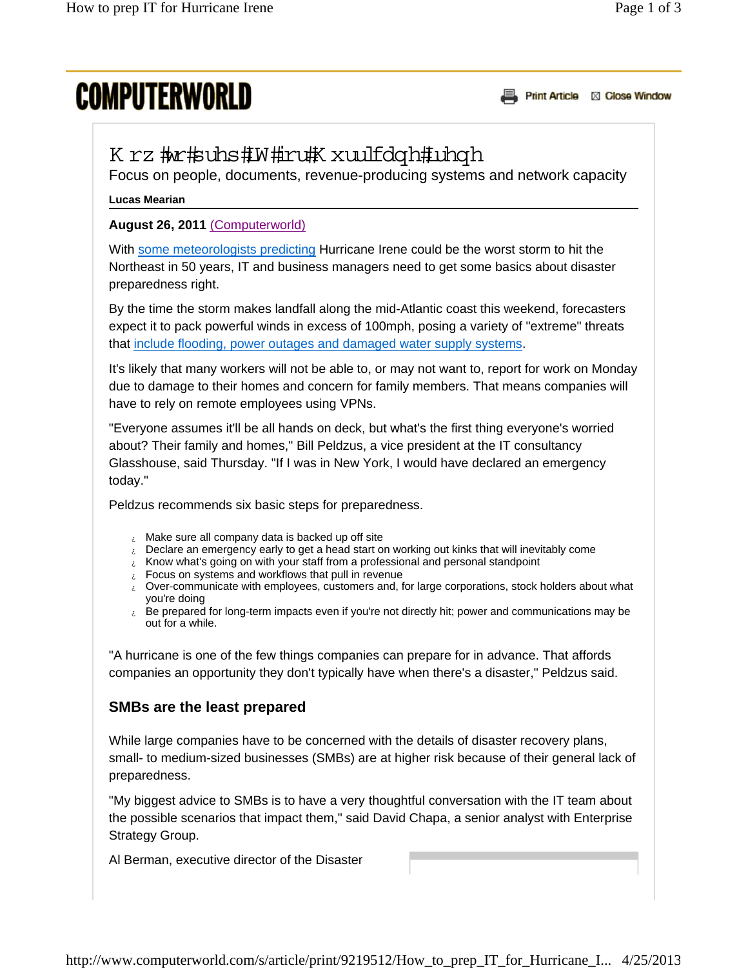# **COMPUTERWORLD**

Print Article **XX** Close Window

# K rz #w#suhs#W#ru#K xuulfdqh#uhqh

Focus on people, documents, revenue-producing systems and network capacity

#### **Lucas Mearian**

#### **August 26, 2011** (Computerworld)

With some meteorologists predicting Hurricane Irene could be the worst storm to hit the Northeast in 50 years, IT and business managers need to get some basics about disaster preparedness right.

By the time the storm makes landfall along the mid-Atlantic coast this weekend, forecasters expect it to pack powerful winds in excess of 100mph, posing a variety of "extreme" threats that include flooding, power outages and damaged water supply systems.

It's likely that many workers will not be able to, or may not want to, report for work on Monday due to damage to their homes and concern for family members. That means companies will have to rely on remote employees using VPNs.

"Everyone assumes it'll be all hands on deck, but what's the first thing everyone's worried about? Their family and homes," Bill Peldzus, a vice president at the IT consultancy Glasshouse, said Thursday. "If I was in New York, I would have declared an emergency today."

Peldzus recommends six basic steps for preparedness.

- $\lambda$  Make sure all company data is backed up off site
- $\varepsilon$  Declare an emergency early to get a head start on working out kinks that will inevitably come
- $\varepsilon$  Know what's going on with your staff from a professional and personal standpoint
- $\epsilon$  Focus on systems and workflows that pull in revenue
- $\epsilon$  Over-communicate with employees, customers and, for large corporations, stock holders about what you're doing
- $\epsilon$  Be prepared for long-term impacts even if you're not directly hit; power and communications may be out for a while.

"A hurricane is one of the few things companies can prepare for in advance. That affords companies an opportunity they don't typically have when there's a disaster," Peldzus said.

#### **SMBs are the least prepared**

While large companies have to be concerned with the details of disaster recovery plans, small- to medium-sized businesses (SMBs) are at higher risk because of their general lack of preparedness.

"My biggest advice to SMBs is to have a very thoughtful conversation with the IT team about the possible scenarios that impact them," said David Chapa, a senior analyst with Enterprise Strategy Group.

Al Berman, executive director of the Disaster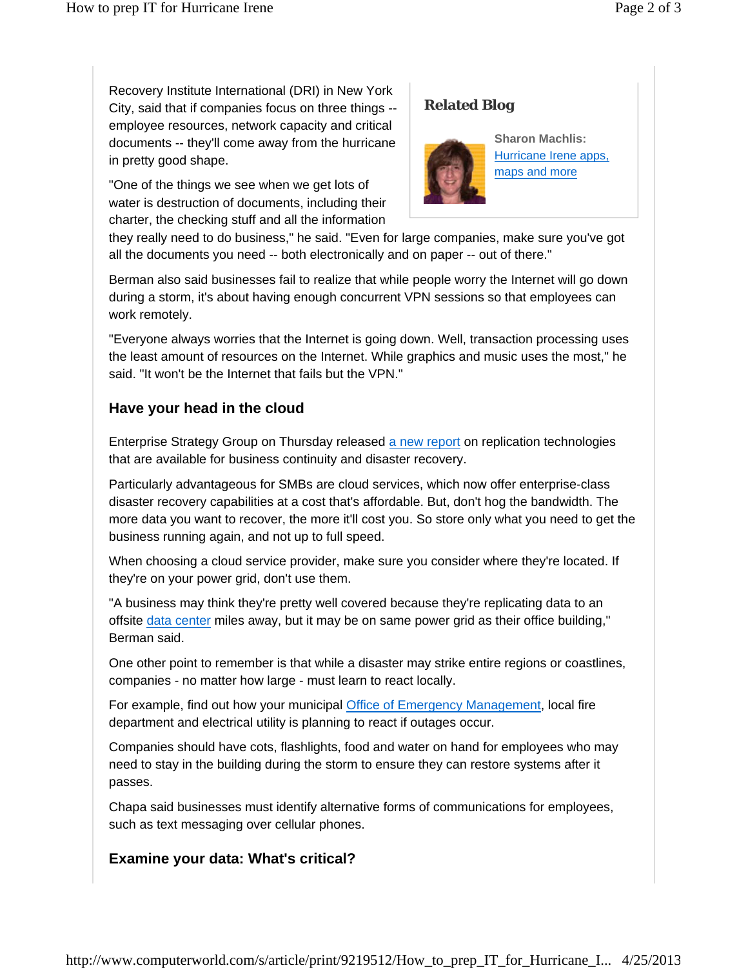Recovery Institute International (DRI) in New York City, said that if companies focus on three things - employee resources, network capacity and critical documents -- they'll come away from the hurricane in pretty good shape.

"One of the things we see when we get lots of water is destruction of documents, including their charter, the checking stuff and all the information

# **Related Blog**



**Sharon Machlis:**  Hurricane Irene apps, maps and more

they really need to do business," he said. "Even for large companies, make sure you've got all the documents you need -- both electronically and on paper -- out of there."

Berman also said businesses fail to realize that while people worry the Internet will go down during a storm, it's about having enough concurrent VPN sessions so that employees can work remotely.

"Everyone always worries that the Internet is going down. Well, transaction processing uses the least amount of resources on the Internet. While graphics and music uses the most," he said. "It won't be the Internet that fails but the VPN."

### **Have your head in the cloud**

Enterprise Strategy Group on Thursday released a new report on replication technologies that are available for business continuity and disaster recovery.

Particularly advantageous for SMBs are cloud services, which now offer enterprise-class disaster recovery capabilities at a cost that's affordable. But, don't hog the bandwidth. The more data you want to recover, the more it'll cost you. So store only what you need to get the business running again, and not up to full speed.

When choosing a cloud service provider, make sure you consider where they're located. If they're on your power grid, don't use them.

"A business may think they're pretty well covered because they're replicating data to an offsite data center miles away, but it may be on same power grid as their office building," Berman said.

One other point to remember is that while a disaster may strike entire regions or coastlines, companies - no matter how large - must learn to react locally.

For example, find out how your municipal Office of Emergency Management, local fire department and electrical utility is planning to react if outages occur.

Companies should have cots, flashlights, food and water on hand for employees who may need to stay in the building during the storm to ensure they can restore systems after it passes.

Chapa said businesses must identify alternative forms of communications for employees, such as text messaging over cellular phones.

# **Examine your data: What's critical?**